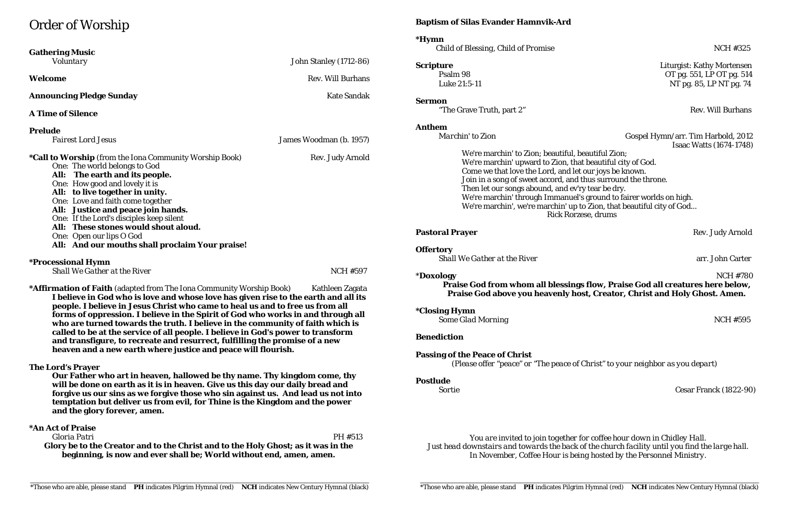## Order of Worship

marchin' to Zion; beautiful, beautiful Zion; marchin' upward to Zion, that beautiful city of God. we that love the Lord, and let our joys be known. In a song of sweet accord, and thus surround the throne. let our songs abound, and ev'ry tear be dry. marchin' through Immanuel's ground to fairer worlds on high. marchin', we're marchin' up to Zion, that beautiful city of God... Rick Rorzese, drums

\***Doxology** NCH #780 **Praise God from whom all blessings flow, Praise God all creatures here below, Praise of above you heavenly host, Creator, Christ and Holy Ghost. Amen.** 

**Pace of Christ** 

| <b>Gathering Music</b>                                                                                                                                          |                               | <i><b>*Hymn</b></i><br><b>Child of Bless</b> |
|-----------------------------------------------------------------------------------------------------------------------------------------------------------------|-------------------------------|----------------------------------------------|
| Voluntary                                                                                                                                                       | <b>John Stanley (1712-86)</b> | <b>Scripture</b>                             |
| Welcome                                                                                                                                                         | <b>Rev. Will Burhans</b>      | Psalm 98<br>Luke 21:5-11                     |
| <b>Announcing Pledge Sunday</b>                                                                                                                                 | <b>Kate Sandak</b>            | <b>Sermon</b>                                |
| <b>A Time of Silence</b>                                                                                                                                        |                               | "The Grave 7                                 |
| <b>Prelude</b>                                                                                                                                                  |                               | <b>Anthem</b>                                |
| <b>Fairest Lord Jesus</b>                                                                                                                                       | James Woodman (b. 1957)       | Marchin' to                                  |
| <i>*Call to Worship</i> (from the Iona Community Worship Book)                                                                                                  | <b>Rev. Judy Arnold</b>       | We're                                        |
| One: The world belongs to God                                                                                                                                   |                               | We're                                        |
| All: The earth and its people.                                                                                                                                  |                               | Come                                         |
| One: How good and lovely it is                                                                                                                                  |                               | Join i                                       |
| All: to live together in unity.                                                                                                                                 |                               | Then                                         |
| One: Love and faith come together                                                                                                                               |                               | We're                                        |
| All: Justice and peace join hands.                                                                                                                              |                               | We're                                        |
| One: If the Lord's disciples keep silent                                                                                                                        |                               |                                              |
| All: These stones would shout aloud.                                                                                                                            |                               |                                              |
| One: Open our lips O God                                                                                                                                        |                               | <b>Pastoral Prayer</b>                       |
| All: And our mouths shall proclaim Your praise!                                                                                                                 |                               | <b>Offertory</b>                             |
|                                                                                                                                                                 |                               | <b>Shall We Ga</b>                           |
| <i><b>*Processional Hymn</b></i>                                                                                                                                |                               |                                              |
| <b>Shall We Gather at the River</b>                                                                                                                             | <b>NCH #597</b>               | <i><b>*Doxology</b></i>                      |
|                                                                                                                                                                 |                               | <b>Praise Go</b>                             |
| *Affirmation of Faith (adapted from The Iona Community Worship Book)                                                                                            | Kathleen Zagata               | <b>Praise G</b>                              |
| I believe in God who is love and whose love has given rise to the earth and all its                                                                             |                               |                                              |
| people. I believe in Jesus Christ who came to heal us and to free us from all                                                                                   |                               | <i><b>*Closing Hymn</b></i>                  |
| forms of oppression. I believe in the Spirit of God who works in and through all                                                                                |                               | Some Glad N                                  |
| who are turned towards the truth. I believe in the community of faith which is                                                                                  |                               |                                              |
| called to be at the service of all people. I believe in God's power to transform<br>and transfigure, to recreate and resurrect, fulfilling the promise of a new |                               | <b>Benediction</b>                           |
| heaven and a new earth where justice and peace will flourish.                                                                                                   |                               |                                              |
| <b>The Lord's Prayer</b>                                                                                                                                        |                               | <b>Passing of the Pe</b><br>(Please c        |
| Our Father who art in heaven, hallowed be thy name. Thy kingdom come, thy                                                                                       |                               |                                              |
| will be done on earth as it is in heaven. Give us this day our daily bread and                                                                                  |                               | <b>Postlude</b>                              |
| forgive us our sins as we forgive those who sin against us. And lead us not into                                                                                |                               | <b>Sortie</b>                                |
| temptation but deliver us from evil, for Thine is the Kingdom and the power                                                                                     |                               |                                              |
| and the glory forever, amen.                                                                                                                                    |                               |                                              |
| *An Act of Praise                                                                                                                                               |                               |                                              |
| Gloria Patri                                                                                                                                                    | PH #513                       | You                                          |
| Glory be to the Creator and to the Christ and to the Holy Ghost; as it was in the                                                                               |                               | Just head down                               |

*<i>y* are invited to join together for coffee hour down in Chidley Hall. *Just head downstairs and towards the back of the church facility until you find the large hall. In November, Coffee Hour is being hosted by the Personnel Ministry.* 

**beginning, is now and ever shall be; World without end, amen, amen.**

**Baptism of Silas Evander Hamnvik-Ard**

#### *Marchin' to Zion* Gospel Hymn/arr. Tim Harbold, 2012 Isaac Watts (1674-1748)

**Rev. Judy Arnold** 

*Shall We Gather at the River* arr. John Carter

*Some Glad Morning* NCH #595

*(Please of "The peace of Christ" to your neighbor as you depart)* 

Cesar Franck (1822-90)

#### *Child of Promise* NCH #325

**Liturgist: Kathy Mortensen** OT pg. 551, LP OT pg. 514 NT pg. 85, LP NT pg. 74

Truth, part 2" Truth, part 2"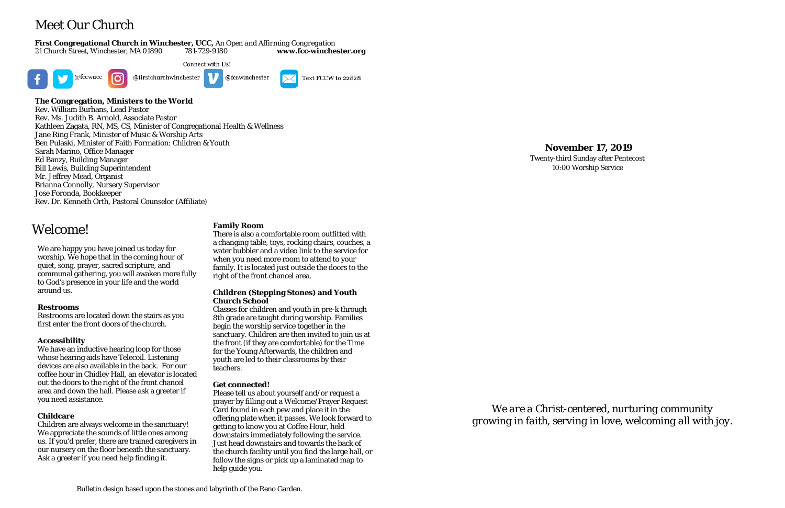# Meet Our Church

21 Church Street, Winchester, MA 01890 781-729-9180 **www.fcc-winchester.org** Connect with Us! @fccwucc <u>ြ</u> @firstchurchwinchester @fccwinchester Text FCCW to 22828

#### **First Congregational Church in Winchester, UCC,** *An Open and Affirming Congregation*



Rev. William Burhans, Lead Pastor Rev. Ms. Judith B. Arnold, Associate Pastor Kathleen Zagata, RN, MS, CS, Minister of Congregational Health & Wellness Jane Ring Frank, Minister of Music & Worship Arts Ben Pulaski, Minister of Faith Formation: Children & Youth Sarah Marino, Office Manager Ed Banzy, Building Manager Bill Lewis, Building Superintendent Mr. Jeffrey Mead, Organist Brianna Connolly, Nursery Supervisor Jose Foronda, Bookkeeper Rev. Dr. Kenneth Orth, Pastoral Counselor (Affiliate)

#### **November 17, 2019**

Twenty-third Sunday after Pentecost 10:00 Worship Service

*We are a Christ-centered, nurturing community growing in faith, serving in love, welcoming all with joy.*

## Welcome!

We are happy you have joined us today for worship. We hope that in the coming hour of quiet, song, prayer, sacred scripture, and communal gathering, you will awaken more fully to God's presence in your life and the world around us.

#### **Restrooms**

Restrooms are located down the stairs as you first enter the front doors of the church.

#### **Accessibility**

We have an inductive hearing loop for those whose hearing aids have Telecoil. Listening devices are also available in the back. For our coffee hour in Chidley Hall, an elevator is located out the doors to the right of the front chancel area and down the hall. Please ask a greeter if you need assistance.

#### **Childcare**

Children are always welcome in the sanctuary! We appreciate the sounds of little ones among us. If you'd prefer, there are trained caregivers in our nursery on the floor beneath the sanctuary. Ask a greeter if you need help finding it.

#### **Family Room**

There is also a comfortable room outfitted with a changing table, toys, rocking chairs, couches, a water bubbler and a video link to the service for when you need more room to attend to your family. It is located just outside the doors to the right of the front chancel area.

#### **Children (Stepping Stones) and Youth Church School**

Classes for children and youth in pre-k through 8th grade are taught during worship. Families begin the worship service together in the sanctuary. Children are then invited to join us at the front (if they are comfortable) for the Time for the Young Afterwards, the children and youth are led to their classrooms by their teachers.

#### **Get connected!**

Please tell us about yourself and/or request a prayer by filling out a Welcome/Prayer Request Card found in each pew and place it in the offering plate when it passes. We look forward to getting to know you at Coffee Hour, held downstairs immediately following the service. Just head downstairs and towards the back of the church facility until you find the large hall, or follow the signs or pick up a laminated map to help guide you.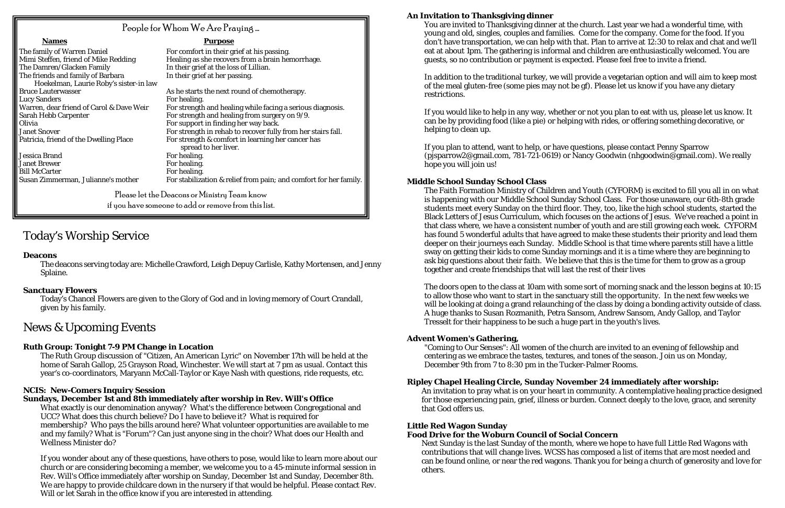## Today's Worship Service

#### **Deacons**

The deacons serving today are: Michelle Crawford, Leigh Depuy Carlisle, Kathy Mortensen, and Jenny Splaine.

#### **Sanctuary Flowers**

Today's Chancel Flowers are given to the Glory of God and in loving memory of Court Crandall, given by his family.

### News & Upcoming Events

#### **Ruth Group: Tonight 7-9 PM Change in Location**

The Ruth Group discussion of "Citizen, An American Lyric" on November 17th will be held at the home of Sarah Gallop, 25 Grayson Road, Winchester. We will start at 7 pm as usual. Contact this year's co-coordinators, Maryann McCall-Taylor or Kaye Nash with questions, ride requests, etc.

What exactly is our denomination anyway? What's the difference between Congregational and UCC? What does this church believe? Do I have to believe it? What is required for membership? Who pays the bills around here? What volunteer opportunities are available to me and my family? What is "Forum"? Can just anyone sing in the choir? What does our Health and Wellness Minister do?

#### **NCIS: New-Comers Inquiry Session**

#### **Sundays, December 1st and 8th immediately after worship in Rev. Will's Office**

If you wonder about any of these questions, have others to pose, would like to learn more about our church or are considering becoming a member, we welcome you to a 45-minute informal session in Rev. Will's Office immediately after worship on Sunday, December 1st and Sunday, December 8th. We are happy to provide childcare down in the nursery if that would be helpful. Please contact Rev. Will or let Sarah in the office know if you are interested in attending.

#### **An Invitation to Thanksgiving dinner**

You are invited to Thanksgiving dinner at the church. Last year we had a wonderful time, with young and old, singles, couples and families. Come for the company. Come for the food. If you don't have transportation, we can help with that. Plan to arrive at 12:30 to relax and chat and we'll eat at about 1pm. The gathering is informal and children are enthusiastically welcomed. You are guests, so no contribution or payment is expected. Please feel free to invite a friend.

In addition to the traditional turkey, we will provide a vegetarian option and will aim to keep most of the meal gluten-free (some pies may not be gf). Please let us know if you have any dietary restrictions.

If you would like to help in any way, whether or not you plan to eat with us, please let us know. It can be by providing food (like a pie) or helping with rides, or offering something decorative, or helping to clean up.

If you plan to attend, want to help, or have questions, please contact Penny Sparrow (pjsparrow2@gmail.com, 781-721-0619) or Nancy Goodwin (nhgoodwin@gmail.com). We really hope you will join us!

#### **Middle School Sunday School Class**

The Faith Formation Ministry of Children and Youth (CYFORM) is excited to fill you all in on what is happening with our Middle School Sunday School Class. For those unaware, our 6th-8th grade students meet every Sunday on the third floor. They, too, like the high school students, started the Black Letters of Jesus Curriculum, which focuses on the actions of Jesus. We've reached a point in that class where, we have a consistent number of youth and are still growing each week. CYFORM has found 5 wonderful adults that have agreed to make these students their priority and lead them deeper on their journeys each Sunday. Middle School is that time where parents still have a little sway on getting their kids to come Sunday mornings and it is a time where they are beginning to ask big questions about their faith. We believe that this is the time for them to grow as a group together and create friendships that will last the rest of their lives

The doors open to the class at 10am with some sort of morning snack and the lesson begins at 10:15 to allow those who want to start in the sanctuary still the opportunity. In the next few weeks we will be looking at doing a grand relaunching of the class by doing a bonding activity outside of class. A huge thanks to Susan Rozmanith, Petra Sansom, Andrew Sansom, Andy Gallop, and Taylor Tresselt for their happiness to be such a huge part in the youth's lives.

#### **Advent Women's Gathering,**

"Coming to Our Senses": All women of the church are invited to an evening of fellowship and centering as we embrace the tastes, textures, and tones of the season. Join us on Monday, December 9th from 7 to 8:30 pm in the Tucker-Palmer Rooms.

#### **Ripley Chapel Healing Circle, Sunday November 24 immediately after worship:**

An invitation to pray what is on your heart in community. A contemplative healing practice designed for those experiencing pain, grief, illness or burden. Connect deeply to the love, grace, and serenity that God offers us.

#### **Little Red Wagon Sunday**

#### **Food Drive for the Woburn Council of Social Concern**

Next Sunday is the last Sunday of the month, where we hope to have full Little Red Wagons with contributions that will change lives. WCSS has composed a list of items that are most needed and can be found online, or near the red wagons. Thank you for being a church of generosity and love for others.

#### People for Whom We Are Praying … **Names Purpose** The family of Warren Daniel For comfort in their grief at his passing.  $\parallel$  Mimi Steffen, friend of Mike Redding Healing as she recovers from a brain hemorrhage. The Damren/Glacken Family In their grief at the loss of Lillian.<br>The friends and family of Barbara In their grief at her passing. The friends and family of Barbara Hoekelman, Laurie Roby's sister-in law As he starts the next round of chemotherapy.<br>For healing. | Lucy Sanders<br>| Warren, dear friend of Carol & Dave Weir Sarah Hebb Carpenter For strength and healing from surgery on 9/9. Olivia For support in finding her way back. Janet Snover<br>
For strength in rehab to recover fully from her stairs fall.<br>
Patricia, friend of the Dwelling Place<br>
For strength & comfort in learning her cancer has For strength & comfort in learning her cancer has spread to her liver.<br>For healing. Jessica Brand For healing.

**Janet Brewer** Bill McCarter For healing.<br>Susan Zimmerman, Julianne's mother For stabiliza

For strength and healing while facing a serious diagnosis.

For stabilization & relief from pain; and comfort for her family.

Please let the Deacons or Ministry Team know if you have someone to add or remove from this list.